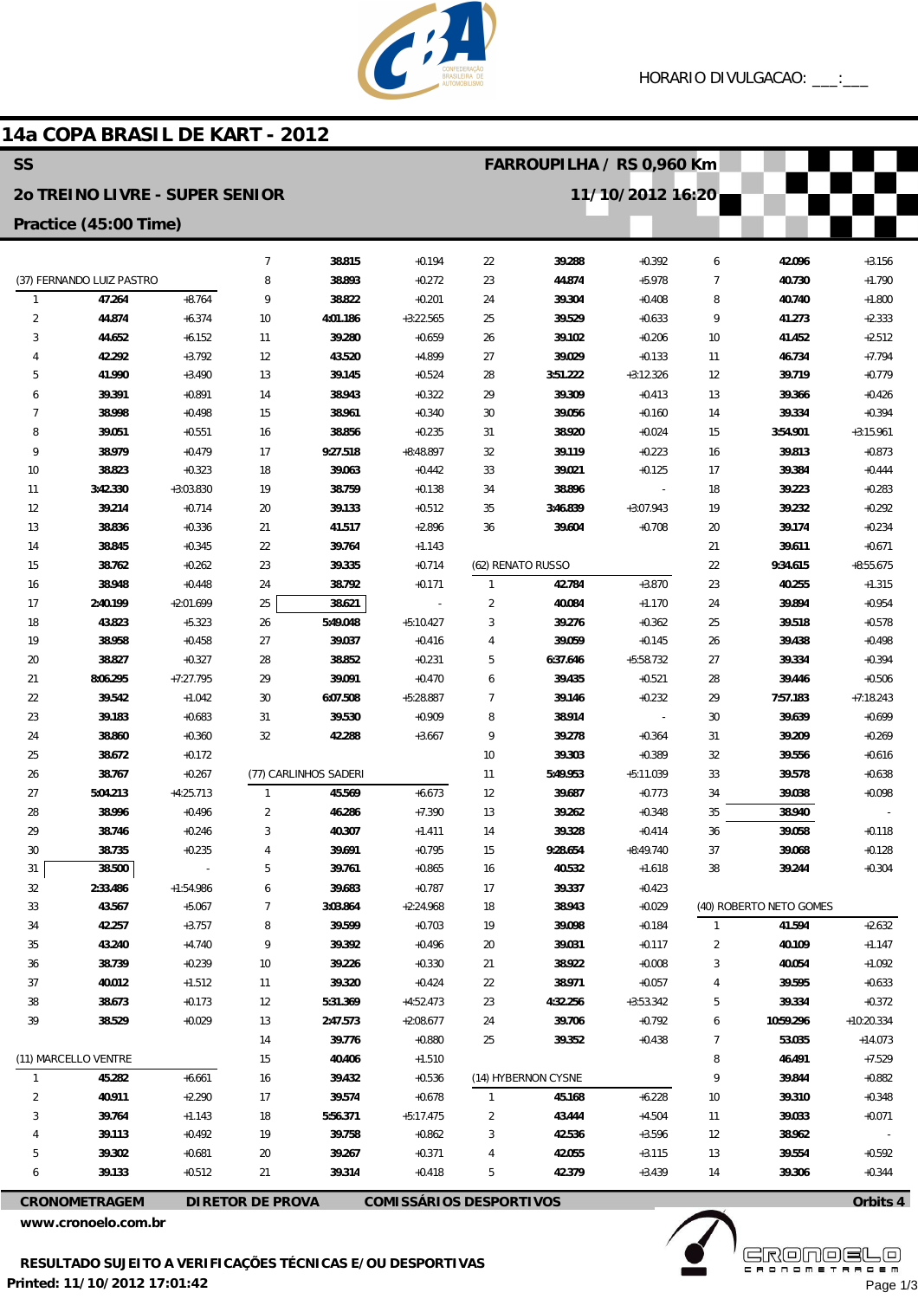

## 14a COPA BRASIL DE KART - 2012

| <b>SS</b><br>FARROUPILHA / RS 0,960 Km |                                |                      |                         |                       |                                |                     |                     |                          |              |                         |                         |
|----------------------------------------|--------------------------------|----------------------|-------------------------|-----------------------|--------------------------------|---------------------|---------------------|--------------------------|--------------|-------------------------|-------------------------|
|                                        | 20 TREINO LIVRE - SUPER SENIOR |                      |                         |                       |                                |                     |                     | 11/10/2012 16:20         |              |                         |                         |
|                                        | Practice (45:00 Time)          |                      |                         |                       |                                |                     |                     |                          |              |                         |                         |
|                                        |                                |                      | $\overline{7}$          | 38.815                | $+0.194$                       | 22                  | 39.288              | $+0.392$                 | 6            | 42.096                  | $+3.156$                |
|                                        | (37) FERNANDO LUIZ PASTRO      |                      | 8                       | 38.893                | $+0.272$                       | 23                  | 44.874              | $+5.978$                 | 7            | 40.730                  | $+1.790$                |
| $\mathbf{1}$                           | 47.264                         | $+8.764$             | 9                       | 38.822                | $+0.201$                       | 24                  | 39.304              | $+0.408$                 | 8            | 40.740                  | $+1.800$                |
| $\overline{2}$                         | 44.874                         | $+6.374$             | 10                      | 4:01.186              | $+3:22.565$                    | 25                  | 39.529              | $+0.633$                 | 9            | 41.273                  | $+2.333$                |
| 3                                      | 44.652                         | $+6.152$             | 11                      | 39.280                | $+0.659$                       | 26                  | 39.102              | $+0.206$                 | 10           | 41.452                  | $+2.512$                |
| 4                                      | 42.292                         | $+3.792$             | 12                      | 43.520                | $+4.899$                       | 27                  | 39.029              | $+0.133$                 | 11           | 46.734                  | $+7.794$                |
| 5                                      | 41.990                         | $+3.490$             | 13                      | 39.145                | $+0.524$                       | 28                  | 3:51.222            | $+3:12.326$              | 12           | 39.719                  | $+0.779$                |
| 6                                      | 39.391                         | $+0.891$             | 14                      | 38.943                | $+0.322$                       | 29                  | 39.309              | $+0.413$                 | 13           | 39.366                  | $+0.426$                |
| 7                                      | 38.998                         | $+0.498$             | 15                      | 38.961                | $+0.340$                       | 30                  | 39.056              | $+0.160$                 | 14           | 39.334                  | $+0.394$                |
| 8                                      | 39.051                         | $+0.551$             | 16                      | 38.856                | $+0.235$                       | 31                  | 38.920              | $+0.024$                 | 15           | 3:54.901                | $+3:15.961$             |
| 9                                      | 38.979                         | $+0.479$             | 17                      | 9:27.518              | $+8:48.897$                    | 32                  | 39.119              | $+0.223$                 | 16           | 39.813                  | $+0.873$                |
| 10                                     | 38.823                         | $+0.323$             | 18                      | 39.063                | $+0.442$                       | 33                  | 39.021              | $+0.125$                 | 17           | 39.384                  | $+0.444$                |
| 11                                     | 3:42.330                       | $+3:03.830$          | 19                      | 38.759                | $+0.138$                       | 34                  | 38.896              | $\overline{\phantom{a}}$ | 18           | 39.223                  | $+0.283$                |
| 12                                     | 39.214                         | $+0.714$             | 20                      | 39.133                | $+0.512$                       | 35                  | 3:46.839            | $+3:07.943$              | 19           | 39.232                  | $+0.292$                |
| 13                                     | 38.836                         | $+0.336$             | 21                      | 41.517                | $+2.896$                       | 36                  | 39.604              | $+0.708$                 | 20           | 39.174                  | $+0.234$                |
| 14<br>15                               | 38.845<br>38.762               | $+0.345$<br>$+0.262$ | 22<br>23                | 39.764<br>39.335      | $+1.143$<br>$+0.714$           |                     | (62) RENATO RUSSO   |                          | 21<br>22     | 39.611<br>9:34.615      | $+0.671$<br>$+8:55.675$ |
| 16                                     | 38.948                         | $+0.448$             | 24                      | 38.792                | $+0.171$                       | $\mathbf{1}$        | 42.784              | $+3.870$                 | 23           | 40.255                  | $+1.315$                |
| 17                                     | 2:40.199                       | $+2:01.699$          | 25                      | 38.621                |                                | $\overline{2}$      | 40.084              | $+1.170$                 | 24           | 39.894                  | $+0.954$                |
| 18                                     | 43.823                         | $+5.323$             | 26                      | 5:49.048              | $+5:10.427$                    | 3                   | 39.276              | $+0.362$                 | 25           | 39.518                  | $+0.578$                |
| 19                                     | 38.958                         | $+0.458$             | 27                      | 39.037                | $+0.416$                       | 4                   | 39.059              | $+0.145$                 | 26           | 39.438                  | $+0.498$                |
| 20                                     | 38.827                         | $+0.327$             | 28                      | 38.852                | $+0.231$                       | 5                   | 6:37.646            | $+5:58.732$              | 27           | 39.334                  | $+0.394$                |
| 21                                     | 8:06.295                       | $+7:27.795$          | 29                      | 39.091                | $+0.470$                       | 6                   | 39.435              | $+0.521$                 | 28           | 39.446                  | $+0.506$                |
| 22                                     | 39.542                         | $+1.042$             | 30                      | 6:07.508              | $+5:28.887$                    | $\overline{7}$      | 39.146              | $+0.232$                 | 29           | 7:57.183                | $+7:18.243$             |
| 23                                     | 39.183                         | $+0.683$             | 31                      | 39.530                | $+0.909$                       | 8                   | 38.914              |                          | 30           | 39.639                  | $+0.699$                |
| 24                                     | 38.860                         | $+0.360$             | 32                      | 42.288                | $+3.667$                       | 9                   | 39.278              | $+0.364$                 | 31           | 39.209                  | $+0.269$                |
| 25                                     | 38.672                         | $+0.172$             |                         |                       |                                | 10                  | 39.303              | $+0.389$                 | 32           | 39.556                  | $+0.616$                |
| 26                                     | 38.767                         | $+0.267$             |                         | (77) CARLINHOS SADERI |                                | 11                  | 5:49.953            | $+5:11.039$              | 33           | 39.578                  | $+0.638$                |
| 27                                     | 5:04.213                       | $+4:25.713$          | $\mathbf{1}$            | 45.569                | $+6.673$                       | 12                  | 39.687              | $+0.773$                 | 34           | 39.038                  | $+0.098$                |
| 28                                     | 38.996                         | $+0.496$             | $\overline{2}$          | 46.286                | $+7.390$                       | 13                  | 39.262              | $+0.348$                 | 35           | 38.940                  |                         |
| 29                                     | 38.746                         | $+0.246$             | 3                       | 40.307                | $+1.411$                       | 14                  | 39.328              | $+0.414$                 | 36           | 39.058                  | $+0.118$                |
| 30                                     | 38.735                         | $+0.235$             | 4                       | 39.691                | $+0.795$                       | 15                  | 9:28.654            | $+8:49.740$              | 37           | 39.068                  | $+0.128$                |
| 31                                     | 38.500                         |                      | 5                       | 39.761                | $+0.865$                       | 16                  | 40.532              | $+1.618$                 | 38           | 39.244                  | $+0.304$                |
| 32                                     | 2:33.486                       | $+1:54.986$          | 6                       | 39.683                | $+0.787$                       | 17                  | 39.337              | $+0.423$                 |              |                         |                         |
| 33                                     | 43.567                         | $+5.067$             | $\overline{7}$          | 3:03.864              | $+2:24.968$                    | 18                  | 38.943              | $+0.029$                 |              | (40) ROBERTO NETO GOMES |                         |
| 34                                     | 42.257                         | $+3.757$             | 8                       | 39.599                | $+0.703$                       | 19                  | 39.098              | $+0.184$                 | $\mathbf{1}$ | 41.594                  | $+2.632$                |
| 35                                     | 43.240                         | $+4.740$             | 9                       | 39.392                | $+0.496$                       | 20                  | 39.031              | $+0.117$                 | 2            | 40.109                  | $+1.147$                |
| 36                                     | 38.739                         | $+0.239$             | 10                      | 39.226                | $+0.330$                       | 21                  | 38.922              | $+0.008$                 | 3            | 40.054                  | $+1.092$                |
| 37                                     | 40.012                         | $+1.512$             | 11                      | 39.320                | $+0.424$                       | 22                  | 38.971              | $+0.057$                 | 4            | 39.595                  | $+0.633$                |
| 38                                     | 38.673                         | $+0.173$             | 12                      | 5:31.369              | $+4:52.473$                    | 23                  | 4:32.256            | $+3:53.342$              | 5            | 39.334                  | $+0.372$                |
| 39                                     | 38.529                         | $+0.029$             | 13                      | 2:47.573              | $+2:08.677$                    | 24                  | 39.706              | $+0.792$                 | 6            | 10:59.296               | $+10:20.334$            |
|                                        |                                |                      | 14                      | 39.776                | $+0.880$                       | 25                  | 39.352              | $+0.438$                 | 7            | 53.035                  | $+14.073$               |
| (11) MARCELLO VENTRE                   |                                | 15                   | 40.406                  | $+1.510$              |                                |                     |                     | 8                        | 46.491       | $+7.529$                |                         |
| 1                                      | 45.282                         | $+6.661$             | 16                      | 39.432                | $+0.536$                       |                     | (14) HYBERNON CYSNE |                          | 9            | 39.844                  | $+0.882$                |
| $\sqrt{2}$                             | 40.911<br>39.764               | $+2.290$<br>$+1.143$ | 17                      | 39.574                | $+0.678$<br>$+5:17.475$        | $\mathbf{1}$        | 45.168<br>43.444    | $+6.228$<br>$+4.504$     | $10$         | 39.310                  | $+0.348$                |
| 3                                      | 39.113                         | $+0.492$             | 18<br>19                | 5:56.371<br>39.758    | $+0.862$                       | $\overline{c}$<br>3 | 42.536              | $+3.596$                 | 11<br>12     | 39.033<br>38.962        | $+0.071$                |
| 5                                      | 39.302                         | $+0.681$             | 20                      | 39.267                | $+0.371$                       | 4                   | 42.055              | $+3.115$                 | 13           | 39.554                  | $+0.592$                |
| 6                                      | 39.133                         | $+0.512$             | 21                      | 39.314                | $+0.418$                       | 5                   | 42.379              | $+3.439$                 | 14           | 39.306                  | $+0.344$                |
|                                        |                                |                      |                         |                       |                                |                     |                     |                          |              |                         |                         |
|                                        | <b>CRONOMETRAGEM</b>           |                      | <b>DIRETOR DE PROVA</b> |                       | <b>COMISSÁRIOS DESPORTIVOS</b> |                     |                     |                          |              |                         | Orbits 4                |

www.cronoelo.com.br

**ERONOSLO** Page 1/3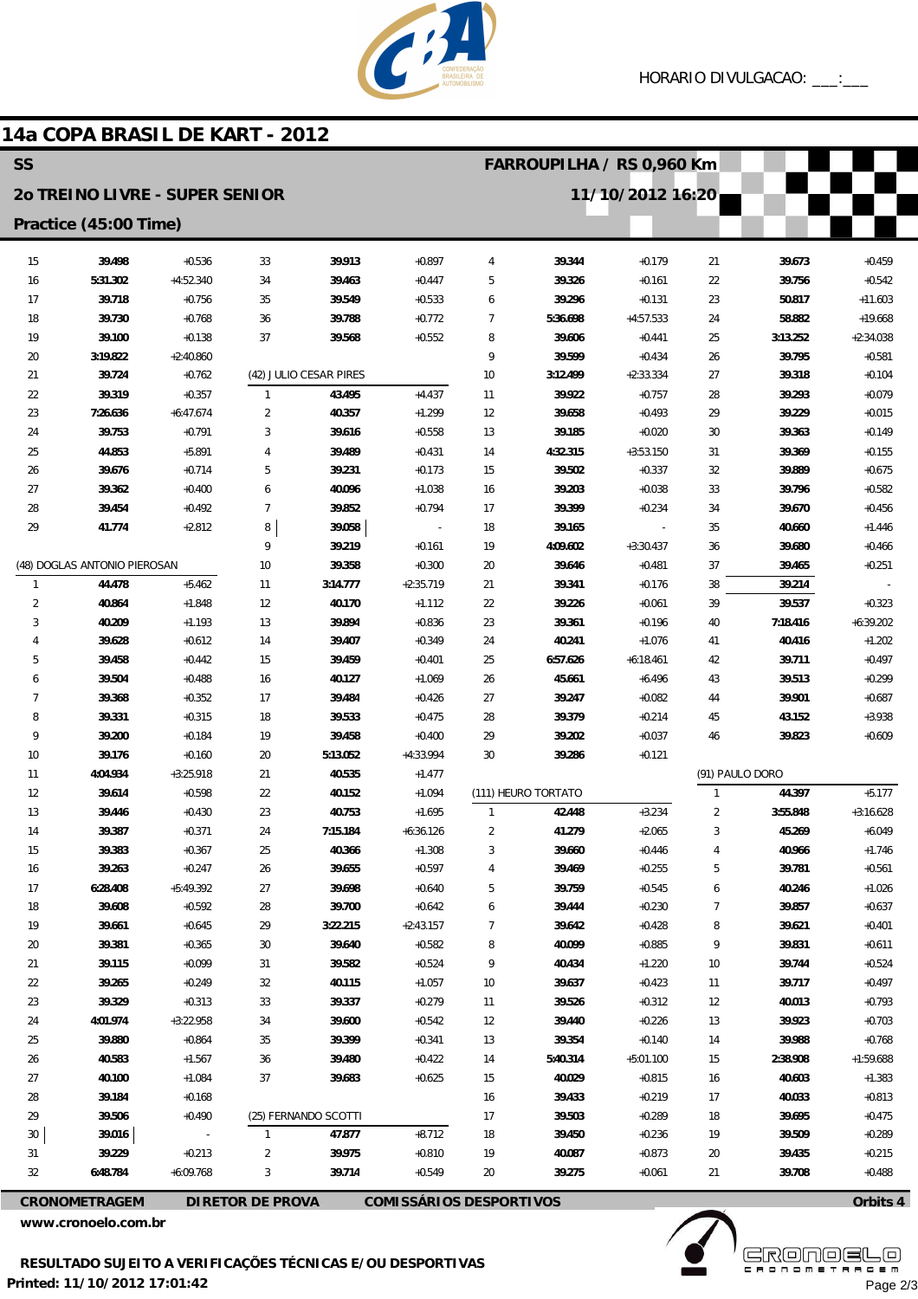

## 14a COPA BRASIL DE KART - 2012

| <b>SS</b><br>FARROUPILHA / RS 0,960 Km                                            |                              |                      |                   |                        |                          |                |                     |                      |                 |                    |                         |
|-----------------------------------------------------------------------------------|------------------------------|----------------------|-------------------|------------------------|--------------------------|----------------|---------------------|----------------------|-----------------|--------------------|-------------------------|
| <b>20 TREINO LIVRE - SUPER SENIOR</b>                                             |                              |                      |                   |                        |                          |                |                     | 11/10/2012 16:20     |                 |                    |                         |
|                                                                                   | Practice (45:00 Time)        |                      |                   |                        |                          |                |                     |                      |                 |                    |                         |
| 15                                                                                | 39.498                       | $+0.536$             | 33                | 39.913                 | $+0.897$                 | 4              | 39.344              | $+0.179$             | 21              | 39.673             | $+0.459$                |
| 16                                                                                | 5:31.302                     | $+4:52.340$          | 34                | 39.463                 | $+0.447$                 | 5              | 39.326              | $+0.161$             | 22              | 39.756             | $+0.542$                |
| 17                                                                                | 39.718                       | $+0.756$             | 35                | 39.549                 | $+0.533$                 | 6              | 39.296              | $+0.131$             | 23              | 50.817             | $+11.603$               |
| 18                                                                                | 39.730                       | $+0.768$             | 36                | 39.788                 | $+0.772$                 | $\overline{7}$ | 5:36.698            | $+4:57.533$          | 24              | 58.882             | $+19.668$               |
| 19                                                                                | 39.100                       | $+0.138$             | 37                | 39.568                 | $+0.552$                 | 8              | 39.606              | $+0.441$             | 25              | 3:13.252           | $+2:34.038$             |
| 20                                                                                | 3:19.822                     | $+2:40.860$          |                   |                        |                          | 9              | 39.599              | $+0.434$             | 26              | 39.795             | $+0.581$                |
| 21                                                                                | 39.724                       | $+0.762$             |                   | (42) JULIO CESAR PIRES |                          | 10             | 3:12.499            | $+2:33.334$          | 27              | 39.318             | $+0.104$                |
| 22                                                                                | 39.319                       | $+0.357$             | $\mathbf{1}$      | 43.495                 | $+4.437$                 | 11             | 39.922              | $+0.757$             | 28              | 39.293             | $+0.079$                |
| 23                                                                                | 7:26.636                     | $+6:47.674$          | 2                 | 40.357                 | $+1.299$                 | 12             | 39.658              | $+0.493$             | 29              | 39.229             | $+0.015$                |
| 24                                                                                | 39.753                       | $+0.791$             | 3                 | 39.616                 | $+0.558$                 | 13             | 39.185              | $+0.020$             | 30              | 39.363             | $+0.149$                |
| 25                                                                                | 44.853                       | $+5.891$             | 4                 | 39.489                 | $+0.431$                 | 14             | 4:32.315            | $+3:53.150$          | 31              | 39.369             | $+0.155$                |
| 26                                                                                | 39.676                       | $+0.714$             | 5                 | 39.231                 | $+0.173$                 | 15             | 39.502              | $+0.337$             | 32              | 39.889             | $+0.675$                |
| 27                                                                                | 39.362                       | $+0.400$             | 6                 | 40.096                 | $+1.038$                 | 16             | 39.203              | $+0.038$             | 33              | 39.796             | $+0.582$                |
| 28                                                                                | 39.454                       | $+0.492$             | $\overline{7}$    | 39.852                 | $+0.794$                 | 17             | 39.399              | $+0.234$             | 34              | 39.670             | $+0.456$                |
| 29                                                                                | 41.774                       | $+2.812$             | 8                 | 39.058                 | $\overline{\phantom{a}}$ | 18             | 39.165              |                      | 35              | 40.660             | $+1.446$                |
|                                                                                   |                              |                      | 9                 | 39.219                 | $+0.161$                 | 19             | 4:09.602            | $+3:30.437$          | 36              | 39.680             | $+0.466$                |
|                                                                                   | (48) DOGLAS ANTONIO PIEROSAN | $+5.462$             | 10                | 39.358                 | $+0.300$                 | 20             | 39.646              | $+0.481$             | 37              | 39.465             | $+0.251$                |
| $\mathbf{1}$                                                                      | 44.478<br>40.864             |                      | 11                | 3:14.777               | $+2:35.719$              | 21             | 39.341              | $+0.176$             | 38              | 39.214             |                         |
| $\overline{2}$<br>3                                                               | 40.209                       | $+1.848$<br>$+1.193$ | 12<br>13          | 40.170<br>39.894       | $+1.112$<br>$+0.836$     | 22             | 39.226              | $+0.061$<br>$+0.196$ | 39              | 39.537             | $+0.323$<br>$+6:39.202$ |
| $\overline{4}$                                                                    | 39.628                       | $+0.612$             | 14                | 39.407                 | $+0.349$                 | 23<br>24       | 39.361<br>40.241    | $+1.076$             | 40<br>41        | 7:18.416<br>40.416 | $+1.202$                |
| 5                                                                                 | 39.458                       | $+0.442$             | 15                | 39.459                 | $+0.401$                 | 25             | 6:57.626            | $+6:18.461$          | 42              | 39.711             | $+0.497$                |
| 6                                                                                 | 39.504                       | $+0.488$             | 16                | 40.127                 | $+1.069$                 | 26             | 45.661              | $+6.496$             | 43              | 39.513             | $+0.299$                |
| 7                                                                                 | 39.368                       | $+0.352$             | 17                | 39.484                 | $+0.426$                 | 27             | 39.247              | $+0.082$             | 44              | 39.901             | $+0.687$                |
| 8                                                                                 | 39.331                       | $+0.315$             | 18                | 39.533                 | $+0.475$                 | 28             | 39.379              | $+0.214$             | 45              | 43.152             | $+3.938$                |
| 9                                                                                 | 39.200                       | $+0.184$             | 19                | 39.458                 | $+0.400$                 | 29             | 39.202              | $+0.037$             | 46              | 39.823             | $+0.609$                |
| 10                                                                                | 39.176                       | $+0.160$             | 20                | 5:13.052               | +4:33.994                | 30             | 39.286              | $+0.121$             |                 |                    |                         |
| 11                                                                                | 4:04.934                     | $+3:25.918$          | 21                | 40.535                 | $+1.477$                 |                |                     |                      | (91) PAULO DORO |                    |                         |
| 12                                                                                | 39.614                       | $+0.598$             | 22                | 40.152                 | $+1.094$                 |                | (111) HEURO TORTATO |                      | $\mathbf{1}$    | 44.397             | $+5.177$                |
| 13                                                                                | 39.446                       | $+0.430$             | 23                | 40.753                 | $+1.695$                 | $\mathbf{1}$   | 42.448              | $+3.234$             | 2               | 3:55.848           | $+3:16.628$             |
| 14                                                                                | 39.387                       | $+0.371$             | 24                | 7:15.184               | $+6:36.126$              | $\overline{2}$ | 41.279              | $+2.065$             | 3               | 45.269             | $+6.049$                |
| 15                                                                                | 39.383                       | $+0.367$             | 25                | 40.366                 | $+1.308$                 | 3              | 39.660              | $+0.446$             | $\sqrt{4}$      | 40.966             | $+1.746$                |
| 16                                                                                | 39.263                       | $+0.247$             | 26                | 39.655                 | $+0.597$                 | 4              | 39.469              | $+0.255$             | 5               | 39.781             | $+0.561$                |
| 17                                                                                | 6:28.408                     | $+5:49.392$          | 27                | 39.698                 | $+0.640$                 | 5              | 39.759              | $+0.545$             | 6               | 40.246             | $+1.026$                |
| 18                                                                                | 39.608                       | $+0.592$             | 28                | 39.700                 | $+0.642$                 | 6              | 39.444              | $+0.230$             | 7               | 39.857             | $+0.637$                |
| 19                                                                                | 39.661                       | $+0.645$             | 29                | 3:22.215               | $+2:43.157$              | $\overline{7}$ | 39.642              | $+0.428$             | 8               | 39.621             | $+0.401$                |
| 20                                                                                | 39.381                       | $+0.365$             | 30                | 39.640                 | $+0.582$                 | 8              | 40.099              | $+0.885$             | 9               | 39.831             | $+0.611$                |
| 21                                                                                | 39.115                       | $+0.099$             | 31                | 39.582                 | $+0.524$                 | 9              | 40.434              | $+1.220$             | 10              | 39.744             | $+0.524$                |
| 22                                                                                | 39.265                       | $+0.249$             | 32                | 40.115                 | $+1.057$                 | 10             | 39.637              | $+0.423$             | 11              | 39.717             | $+0.497$                |
| 23                                                                                | 39.329                       | $+0.313$             | 33                | 39.337                 | $+0.279$                 | 11             | 39.526              | $+0.312$             | 12              | 40.013             | $+0.793$                |
| 24                                                                                | 4:01.974                     | $+3:22.958$          | 34                | 39.600                 | $+0.542$                 | 12             | 39.440              | $+0.226$             | 13              | 39.923             | $+0.703$                |
| 25                                                                                | 39.880                       | $+0.864$             | 35                | 39.399                 | $+0.341$                 | 13             | 39.354              | $+0.140$             | 14              | 39.988             | $+0.768$                |
| 26                                                                                | 40.583                       | $+1.567$             | 36                | 39.480                 | $+0.422$                 | 14             | 5:40.314            | $+5:01.100$          | 15              | 2:38.908           | $+1:59.688$             |
| 27                                                                                | 40.100                       | $+1.084$             | 37                | 39.683                 | $+0.625$                 | 15             | 40.029              | $+0.815$             | 16              | 40.603             | $+1.383$                |
| 28                                                                                | 39.184                       | $+0.168$             |                   |                        |                          | 16             | 39.433              | $+0.219$             | 17              | 40.033             | $+0.813$                |
| 29                                                                                | 39.506                       | $+0.490$             |                   | (25) FERNANDO SCOTTI   |                          | 17             | 39.503              | $+0.289$             | 18              | 39.695             | $+0.475$                |
| 30<br>31                                                                          | 39.016<br>39.229             | $+0.213$             | $\mathbf{1}$<br>2 | 47.877<br>39.975       | $+8.712$<br>$+0.810$     | 18<br>19       | 39.450<br>40.087    | $+0.236$<br>$+0.873$ | 19<br>20        | 39.509<br>39.435   | $+0.289$<br>$+0.215$    |
| 32                                                                                | 6:48.784                     | $+6:09.768$          | 3                 | 39.714                 | $+0.549$                 | 20             | 39.275              | $+0.061$             | 21              | 39.708             | $+0.488$                |
|                                                                                   |                              |                      |                   |                        |                          |                |                     |                      |                 |                    |                         |
| <b>COMISSÁRIOS DESPORTIVOS</b><br><b>DIRETOR DE PROVA</b><br><b>CRONOMETRAGEM</b> |                              |                      |                   |                        |                          |                |                     | Orbits 4             |                 |                    |                         |

www.cronoelo.com.br

**EKÖUÖELE** Page 2/3